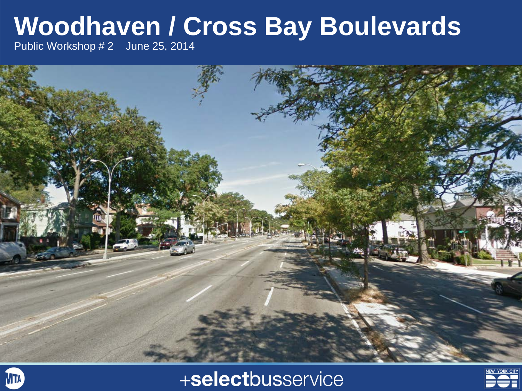## **Woodhaven / Cross Bay Boulevards**

Public Workshop # 2 June 25, 2014





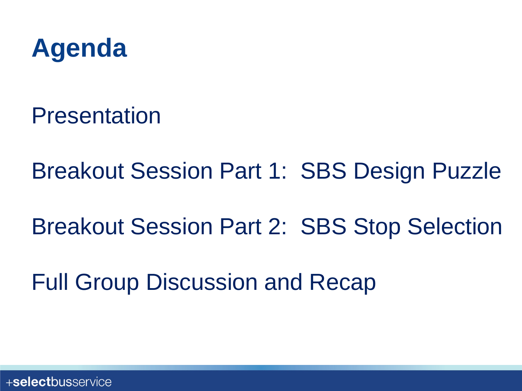

Presentation

Breakout Session Part 1: SBS Design Puzzle

Breakout Session Part 2: SBS Stop Selection

Full Group Discussion and Recap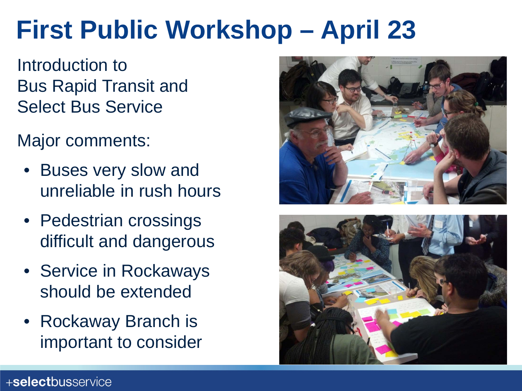## **First Public Workshop – April 23**

Introduction to Bus Rapid Transit and Select Bus Service

Major comments:

- Buses very slow and unreliable in rush hours
- Pedestrian crossings difficult and dangerous
- Service in Rockaways should be extended
- Rockaway Branch is important to consider



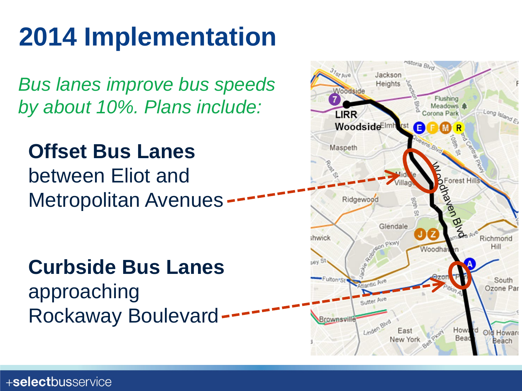# **2014 Implementation**

*Bus lanes improve bus speeds by about 10%. Plans include:*

**Offset Bus Lanes** between Eliot and Metropolitan Avenues

**Curbside Bus Lanes** approaching Rockaway Boulevard

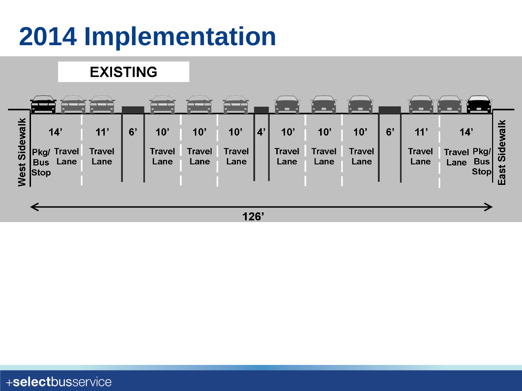# **2014 Implementation**

#### **EXISTING**

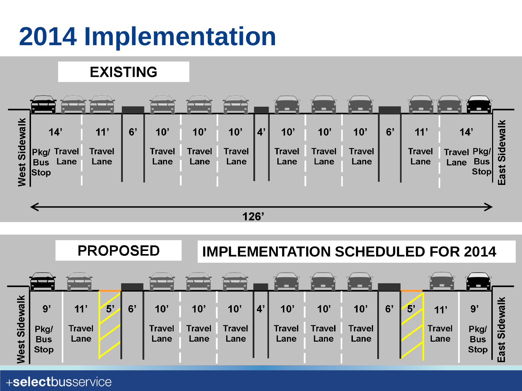# **2014 Implementation**

#### **EXISTING**



 $126'$ 

| 11'<br>$\overline{5}$<br>9'<br>$\overline{5}$<br>ya<br>6'<br>10'<br>10'<br>10'<br>$10$ '<br>6'<br>$10^{\circ}$<br>10'<br>$9^{\circ}$<br>11'<br><b>Travel</b><br><b>Travel</b><br><b>Travel</b><br><b>Travel</b><br><b>Travel</b><br><b>Travel</b><br><b>Travel</b><br>Pkg/<br><b>Travel</b><br>Pkg/ |      |            | <b>PROPOSED</b> |  |  | <b>IMPLEMENTATION SCHEDULED FOR 2014</b> |      |      |  |      |      |      |  |  |      |            |                              |
|-----------------------------------------------------------------------------------------------------------------------------------------------------------------------------------------------------------------------------------------------------------------------------------------------------|------|------------|-----------------|--|--|------------------------------------------|------|------|--|------|------|------|--|--|------|------------|------------------------------|
| Vest<br><b>Stop</b><br><b>Stop</b>                                                                                                                                                                                                                                                                  | Side | <b>Bus</b> | Lane            |  |  | Lane                                     | Lane | Lane |  | Lane | Lane | Lane |  |  | Lane | <b>Bus</b> | wa<br>ω<br><b>Sid</b><br>ast |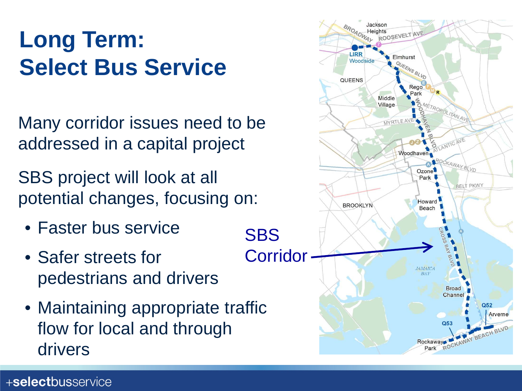### **Long Term: Select Bus Service**

Many corridor issues need to be addressed in a capital project

SBS project will look at all potential changes, focusing on:

- Faster bus service
- Safer streets for pedestrians and drivers
- Maintaining appropriate traffic flow for local and through drivers

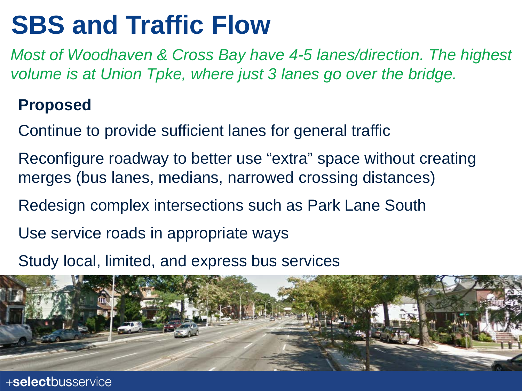## **SBS and Traffic Flow**

*Most of Woodhaven & Cross Bay have 4-5 lanes/direction. The highest volume is at Union Tpke, where just 3 lanes go over the bridge.*

#### **Proposed**

Continue to provide sufficient lanes for general traffic

- Reconfigure roadway to better use "extra" space without creating merges (bus lanes, medians, narrowed crossing distances)
- Redesign complex intersections such as Park Lane South
- Use service roads in appropriate ways
- Study local, limited, and express bus services

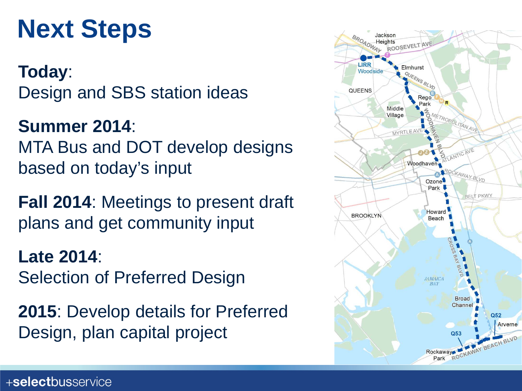## **Next Steps**

**Today**: Design and SBS station ideas

**Summer 2014**: MTA Bus and DOT develop designs based on today's input

**Fall 2014**: Meetings to present draft plans and get community input

**Late 2014**: Selection of Preferred Design

**2015**: Develop details for Preferred Design, plan capital project